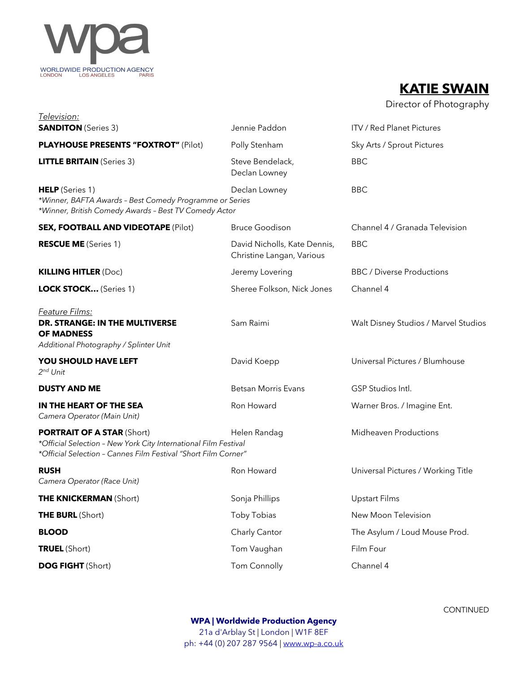

## **KATIE SWAIN**

Director of Photography

| <u>Television:</u><br><b>SANDITON</b> (Series 3)                                                                                                                       | Jennie Paddon                                             | ITV / Red Planet Pictures            |
|------------------------------------------------------------------------------------------------------------------------------------------------------------------------|-----------------------------------------------------------|--------------------------------------|
| <b>PLAYHOUSE PRESENTS "FOXTROT" (Pilot)</b>                                                                                                                            | Polly Stenham                                             | Sky Arts / Sprout Pictures           |
| <b>LITTLE BRITAIN</b> (Series 3)                                                                                                                                       | Steve Bendelack,<br>Declan Lowney                         | <b>BBC</b>                           |
| <b>HELP</b> (Series 1)<br>*Winner, BAFTA Awards - Best Comedy Programme or Series<br>*Winner, British Comedy Awards - Best TV Comedy Actor                             | Declan Lowney                                             | <b>BBC</b>                           |
| <b>SEX, FOOTBALL AND VIDEOTAPE (Pilot)</b>                                                                                                                             | <b>Bruce Goodison</b>                                     | Channel 4 / Granada Television       |
| <b>RESCUE ME</b> (Series 1)                                                                                                                                            | David Nicholls, Kate Dennis,<br>Christine Langan, Various | <b>BBC</b>                           |
| <b>KILLING HITLER (Doc)</b>                                                                                                                                            | Jeremy Lovering                                           | <b>BBC</b> / Diverse Productions     |
| <b>LOCK STOCK</b> (Series 1)                                                                                                                                           | Sheree Folkson, Nick Jones                                | Channel 4                            |
| Feature Films:<br>DR. STRANGE: IN THE MULTIVERSE<br><b>OF MADNESS</b><br>Additional Photography / Splinter Unit                                                        | Sam Raimi                                                 | Walt Disney Studios / Marvel Studios |
| <b>YOU SHOULD HAVE LEFT</b><br>$2nd$ Unit                                                                                                                              | David Koepp                                               | Universal Pictures / Blumhouse       |
| <b>DUSTY AND ME</b>                                                                                                                                                    | <b>Betsan Morris Evans</b>                                | GSP Studios Intl.                    |
| IN THE HEART OF THE SEA<br>Camera Operator (Main Unit)                                                                                                                 | Ron Howard                                                | Warner Bros. / Imagine Ent.          |
| <b>PORTRAIT OF A STAR (Short)</b><br>*Official Selection - New York City International Film Festival<br>*Official Selection - Cannes Film Festival "Short Film Corner" | Helen Randag                                              | Midheaven Productions                |
| <b>RUSH</b><br>Camera Operator (Race Unit)                                                                                                                             | Ron Howard                                                | Universal Pictures / Working Title   |
| <b>THE KNICKERMAN (Short)</b>                                                                                                                                          | Sonja Phillips                                            | <b>Upstart Films</b>                 |
| <b>THE BURL (Short)</b>                                                                                                                                                | <b>Toby Tobias</b>                                        | New Moon Television                  |
| <b>BLOOD</b>                                                                                                                                                           | Charly Cantor                                             | The Asylum / Loud Mouse Prod.        |
| TRUEL (Short)                                                                                                                                                          | Tom Vaughan                                               | Film Four                            |
| <b>DOG FIGHT (Short)</b>                                                                                                                                               | Tom Connolly                                              | Channel 4                            |

CONTINUED